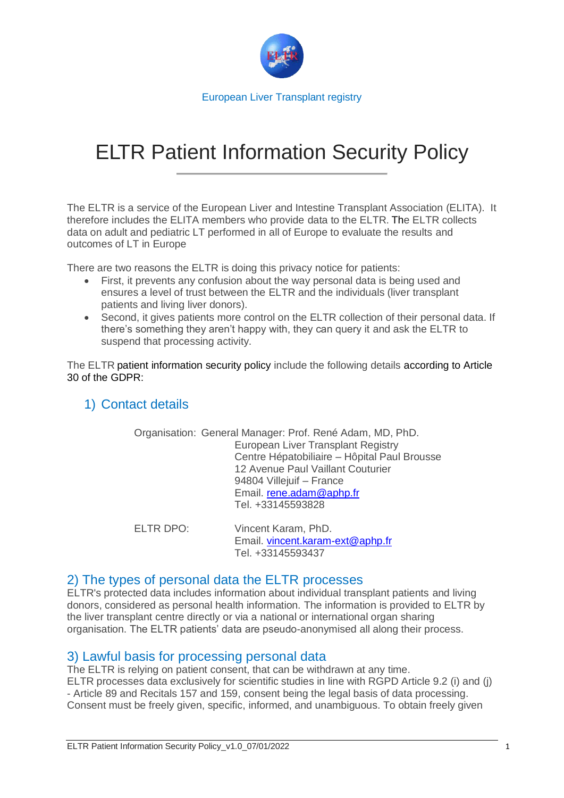

# ELTR Patient Information Security Policy

The ELTR is a service of the European Liver and Intestine Transplant Association (ELITA). It therefore includes the ELITA members who provide data to the ELTR. The ELTR collects data on adult and pediatric LT performed in all of Europe to evaluate the results and outcomes of LT in Europe

There are two reasons the ELTR is doing this privacy notice for patients:

- First, it prevents any confusion about the way personal data is being used and ensures a level of trust between the ELTR and the individuals (liver transplant patients and living liver donors).
- Second, it gives patients more control on the ELTR collection of their personal data. If there's something they aren't happy with, they can query it and ask the ELTR to suspend that processing activity.

The ELTR patient information security policy include the following details according to Article 30 of the GDPR:

## 1) Contact details

|           | Organisation: General Manager: Prof. René Adam, MD, PhD.<br>European Liver Transplant Registry<br>Centre Hépatobiliaire - Hôpital Paul Brousse<br>12 Avenue Paul Vaillant Couturier<br>94804 Villejuif - France<br>Email. rene.adam@aphp.fr |
|-----------|---------------------------------------------------------------------------------------------------------------------------------------------------------------------------------------------------------------------------------------------|
|           | Tel. +33145593828                                                                                                                                                                                                                           |
| ELTR DPO: | Vincent Karam, PhD.<br>Email, vincent karam-ext@aphp fr                                                                                                                                                                                     |

Email. [vincent.karam-ext@aphp.fr](mailto:vincent.karam-ext@aphp.fr) Tel. +33145593437

#### 2) The types of personal data the ELTR processes

ELTR's protected data includes information about individual transplant patients and living donors, considered as personal health information. The information is provided to ELTR by the liver transplant centre directly or via a national or international organ sharing organisation. The ELTR patients' data are pseudo-anonymised all along their process.

### 3) Lawful basis for processing personal data

The ELTR is relying on patient consent, that can be withdrawn at any time. ELTR processes data exclusively for scientific studies in line with RGPD Article 9.2 (i) and (j) - Article 89 and Recitals 157 and 159, consent being the legal basis of data processing. Consent must be freely given, specific, informed, and unambiguous. To obtain freely given